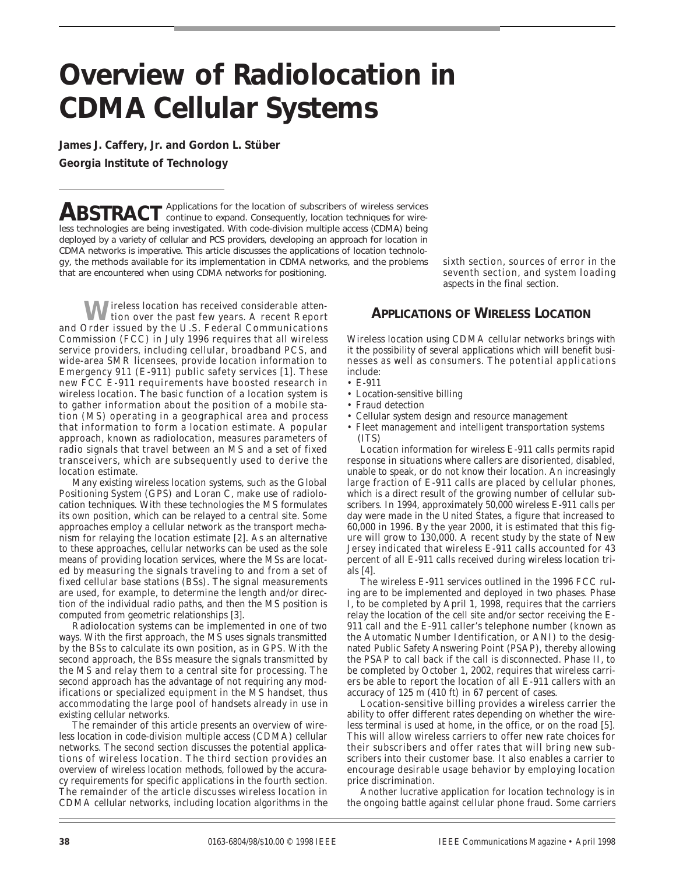# **Overview of Radiolocation in CDMA Cellular Systems**

*James J. Caffery, Jr. and Gordon L. Stüber Georgia Institute of Technology*

Applications for the location of subscribers of wireless services **ABSTRACT** Applications for the location of subscribers of wireless services of wireless technologies are being investigated. With code-division multiple access (CDMA) being deployed by a variety of cellular and PCS providers, developing an approach for location in CDMA networks is imperative. This article discusses the applications of location technology, the methods available for its implementation in CDMA networks, and the problems that are encountered when using CDMA networks for positioning.

 $\mathbb I$  ireless location has received considerable atten-W ireless location has received considerable attention over the past few years. A recent Report and Order issued by the U.S. Federal Communications Commission (FCC) in July 1996 requires that all wireless service providers, including cellular, broadband PCS, and wide-area SMR licensees, provide location information to Emergency 911 (E-911) public safety services [1]. These new FCC E-911 requirements have boosted research in wireless location. The basic function of a location system is to gather information about the position of a mobile station (MS) operating in a geographical area and process that information to form a location estimate. A popular approach, known as *radiolocation*, measures parameters of radio signals that travel between an MS and a set of fixed transceivers, which are subsequently used to derive the location estimate.

Many existing wireless location systems, such as the Global Positioning System (GPS) and Loran C, make use of radiolocation techniques. With these technologies the MS formulates its own position, which can be relayed to a central site. Some approaches employ a cellular network as the transport mechanism for relaying the location estimate [2]. As an alternative to these approaches, cellular networks can be used as the sole means of providing location services, where the MSs are located by measuring the signals traveling to and from a set of fixed cellular base stations (BSs). The signal measurements are used, for example, to determine the length and/or direction of the individual radio paths, and then the MS position is computed from geometric relationships [3].

Radiolocation systems can be implemented in one of two ways. With the first approach, the MS uses signals transmitted by the BSs to calculate its own position, as in GPS. With the second approach, the BSs measure the signals transmitted by the MS and relay them to a central site for processing. The second approach has the advantage of not requiring any modifications or specialized equipment in the MS handset, thus accommodating the large pool of handsets already in use in existing cellular networks.

The remainder of this article presents an overview of wireless location in code-division multiple access (CDMA) cellular networks. The second section discusses the potential applications of wireless location. The third section provides an overview of wireless location methods, followed by the accuracy requirements for specific applications in the fourth section. The remainder of the article discusses wireless location in CDMA cellular networks, including location algorithms in the sixth section, sources of error in the seventh section, and system loading aspects in the final section.

# **APPLICATIONS OF WIRELESS LOCATION**

Wireless location using CDMA cellular networks brings with it the possibility of several applications which will benefit businesses as well as consumers. The potential applications include:

- E-911
- Location-sensitive billing
- Fraud detection
- Cellular system design and resource management
- Fleet management and intelligent transportation systems (ITS)

Location information for wireless E-911 calls permits rapid response in situations where callers are disoriented, disabled, unable to speak, or do not know their location. An increasingly large fraction of E-911 calls are placed by cellular phones, which is a direct result of the growing number of cellular subscribers. In 1994, approximately 50,000 wireless E-911 calls per day were made in the United States, a figure that increased to 60,000 in 1996. By the year 2000, it is estimated that this figure will grow to 130,000. A recent study by the state of New Jersey indicated that wireless E-911 calls accounted for 43 percent of all E-911 calls received during wireless location trials [4].

The wireless E-911 services outlined in the 1996 FCC ruling are to be implemented and deployed in two phases. Phase I, to be completed by April 1, 1998, requires that the carriers relay the location of the cell site and/or sector receiving the E-911 call and the E-911 caller's telephone number (known as the Automatic Number Identification, or ANI) to the designated Public Safety Answering Point (PSAP), thereby allowing the PSAP to call back if the call is disconnected. Phase II, to be completed by October 1, 2002, requires that wireless carriers be able to report the location of all E-911 callers with an accuracy of 125 m (410 ft) in 67 percent of cases.

Location-sensitive billing provides a wireless carrier the ability to offer different rates depending on whether the wireless terminal is used at home, in the office, or on the road [5]. This will allow wireless carriers to offer new rate choices for their subscribers and offer rates that will bring new subscribers into their customer base. It also enables a carrier to encourage desirable usage behavior by employing location price discrimination.

Another lucrative application for location technology is in the ongoing battle against cellular phone fraud. Some carriers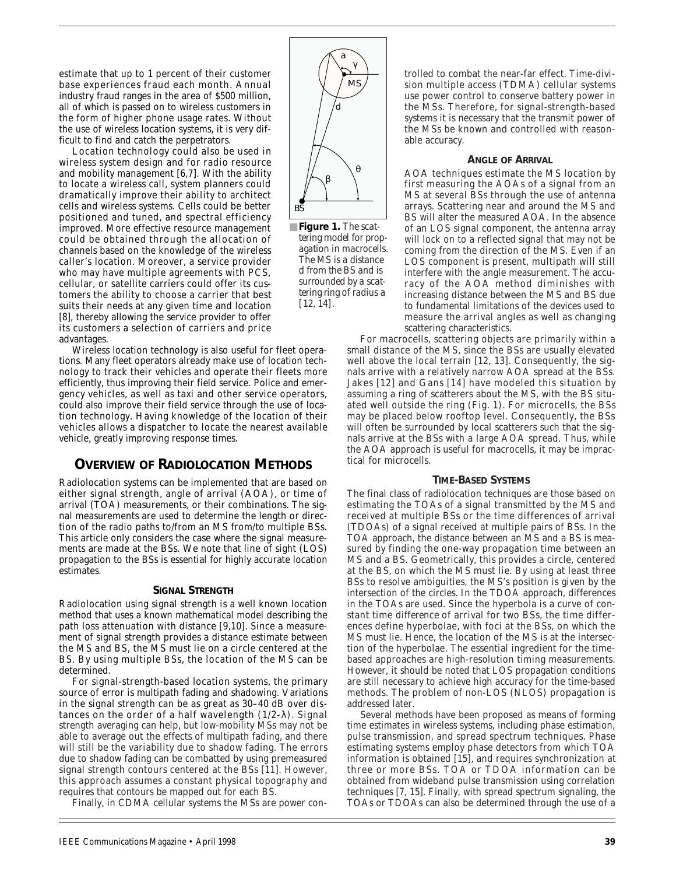estimate that up to 1 percent of their customer base experiences fraud each month. Annual industry fraud ranges in the area of \$500 million, all of which is passed on to wireless customers in the form of higher phone usage rates. Without the use of wireless location systems, it is very difficult to find and catch the perpetrators.

Location technology could also be used in wireless system design and for radio resource and mobility management [6,7]. With the ability to locate a wireless call, system planners could dramatically improve their ability to architect cells and wireless systems. Cells could be better positioned and tuned, and spectral efficiency improved. More effective resource management could be obtained through the allocation of channels based on the knowledge of the wireless caller's location. Moreover, a service provider who may have multiple agreements with PCS, cellular, or satellite carriers could offer its customers the ability to choose a carrier that best suits their needs at any given time and location [8], thereby allowing the service provider to offer its customers a selection of carriers and price advantages.

Wireless location technology is also useful for fleet operations. Many fleet operators already make use of location technology to track their vehicles and operate their fleets more efficiently, thus improving their field service. Police and emergency vehicles, as well as taxi and other service operators, could also improve their field service through the use of location technology. Having knowledge of the location of their vehicles allows a dispatcher to locate the nearest available vehicle, greatly improving response times.

## **OVERVIEW OF RADIOLOCATION METHODS**

Radiolocation systems can be implemented that are based on either signal strength, angle of arrival (AOA), or time of arrival (TOA) measurements, or their combinations. The signal measurements are used to determine the length or direction of the radio paths to/from an MS from/to multiple BSs. This article only considers the case where the signal measurements are made at the BSs. We note that line of sight (LOS) propagation to the BSs is essential for highly accurate location estimates.

#### **SIGNAL STRENGTH**

Radiolocation using signal strength is a well known location method that uses a known mathematical model describing the path loss attenuation with distance [9,10]. Since a measurement of signal strength provides a distance estimate between the MS and BS, the MS must lie on a circle centered at the BS. By using multiple BSs, the location of the MS can be determined.

For signal-strength-based location systems, the primary source of error is multipath fading and shadowing. Variations in the signal strength can be as great as 30–40 dB over distances on the order of a half wavelength  $(1/2-\lambda)$ . Signal strength averaging can help, but low-mobility MSs may not be able to average out the effects of multipath fading, and there will still be the variability due to shadow fading. The errors due to shadow fading can be combatted by using premeasured signal strength contours centered at the BSs [11]. However, this approach assumes a constant physical topography and requires that contours be mapped out for each BS.

Finally, in CDMA cellular systems the MSs are power con-



■ **Figure 1.** *The scattering model for propagation in macrocells. The MS is a distance* d *from the BS and is surrounded by a scattering ring of radius* a *[12, 14].*

trolled to combat the near-far effect. Time-division multiple access (TDMA) cellular systems use power control to conserve battery power in the MSs. Therefore, for signal-strength-based systems it is necessary that the transmit power of the MSs be known and controlled with reasonable accuracy.

#### **ANGLE OF ARRIVAL**

AOA techniques estimate the MS location by first measuring the AOAs of a signal from an MS at several BSs through the use of antenna arrays. Scattering near and around the MS and BS will alter the measured AOA. In the absence of an LOS signal component, the antenna array will lock on to a reflected signal that may not be coming from the direction of the MS. Even if an LOS component is present, multipath will still interfere with the angle measurement. The accuracy of the AOA method diminishes with increasing distance between the MS and BS due to fundamental limitations of the devices used to measure the arrival angles as well as changing scattering characteristics.

For macrocells, scattering objects are primarily within a small distance of the MS, since the BSs are usually elevated well above the local terrain [12, 13]. Consequently, the signals arrive with a relatively narrow AOA spread at the BSs. Jakes [12] and Gans [14] have modeled this situation by assuming a ring of scatterers about the MS, with the BS situated well outside the ring (Fig. 1). For microcells, the BSs may be placed below rooftop level. Consequently, the BSs will often be surrounded by local scatterers such that the signals arrive at the BSs with a large AOA spread. Thus, while the AOA approach is useful for macrocells, it may be impractical for microcells.

#### **TIME-BASED SYSTEMS**

The final class of radiolocation techniques are those based on estimating the TOAs of a signal transmitted by the MS and received at multiple BSs or the time differences of arrival (TDOAs) of a signal received at multiple pairs of BSs. In the TOA approach, the distance between an MS and a BS is measured by finding the one-way propagation time between an MS and a BS. Geometrically, this provides a circle, centered at the BS, on which the MS must lie. By using at least three BSs to resolve ambiguities, the MS's position is given by the intersection of the circles. In the TDOA approach, differences in the TOAs are used. Since the hyperbola is a curve of constant time *difference* of arrival for two BSs, the time differences define hyperbolae, with foci at the BSs, on which the MS must lie. Hence, the location of the MS is at the intersection of the hyperbolae. The essential ingredient for the timebased approaches are high-resolution timing measurements. However, it should be noted that LOS propagation conditions are still necessary to achieve high accuracy for the time-based methods. The problem of non-LOS (NLOS) propagation is addressed later.

Several methods have been proposed as means of forming time estimates in wireless systems, including phase estimation, pulse transmission, and spread spectrum techniques. Phase estimating systems employ phase detectors from which TOA information is obtained [15], and requires synchronization at three or more BSs. TOA or TDOA information can be obtained from wideband pulse transmission using correlation techniques [7, 15]. Finally, with spread spectrum signaling, the TOAs or TDOAs can also be determined through the use of a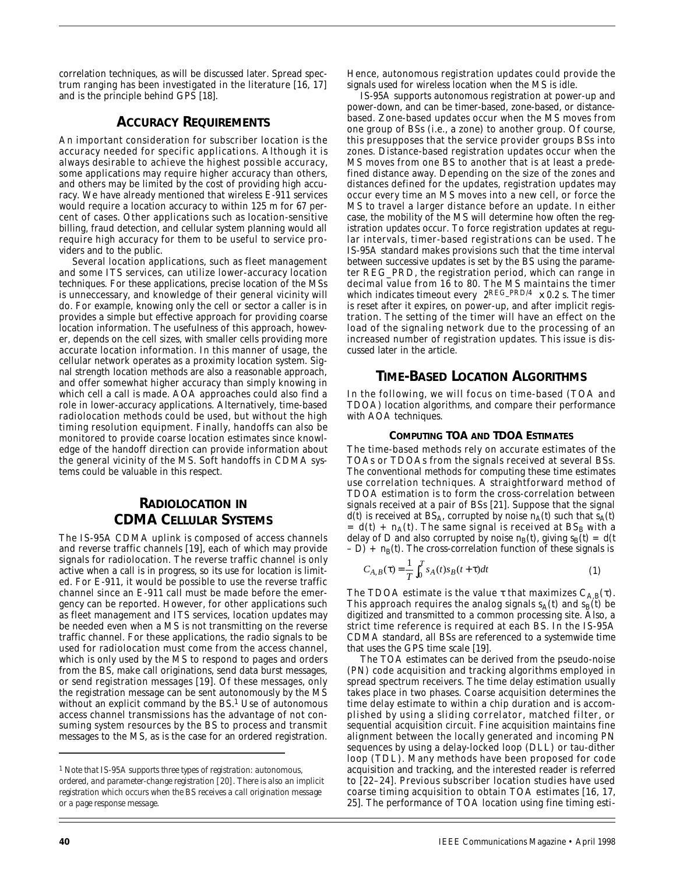correlation techniques, as will be discussed later. Spread spectrum ranging has been investigated in the literature [16, 17] and is the principle behind GPS [18].

# **ACCURACY REQUIREMENTS**

An important consideration for subscriber location is the accuracy needed for specific applications. Although it is always desirable to achieve the highest possible accuracy, some applications may require higher accuracy than others, and others may be limited by the cost of providing high accuracy. We have already mentioned that wireless E-911 services would require a location accuracy to within 125 m for 67 percent of cases. Other applications such as location-sensitive billing, fraud detection, and cellular system planning would all require high accuracy for them to be useful to service providers and to the public.

Several location applications, such as fleet management and some ITS services, can utilize lower-accuracy location techniques. For these applications, precise location of the MSs is unneccessary, and knowledge of their general vicinity will do. For example, knowing only the cell or sector a caller is in provides a simple but effective approach for providing coarse location information. The usefulness of this approach, however, depends on the cell sizes, with smaller cells providing more accurate location information. In this manner of usage, the cellular network operates as a proximity location system. Signal strength location methods are also a reasonable approach, and offer somewhat higher accuracy than simply knowing in which cell a call is made. AOA approaches could also find a role in lower-accuracy applications. Alternatively, time-based radiolocation methods could be used, but without the high timing resolution equipment. Finally, handoffs can also be monitored to provide coarse location estimates since knowledge of the handoff direction can provide information about the general vicinity of the MS. Soft handoffs in CDMA systems could be valuable in this respect.

# **RADIOLOCATION IN CDMA CELLULAR SYSTEMS**

The IS-95A CDMA uplink is composed of access channels and reverse traffic channels [19], each of which may provide signals for radiolocation. The reverse traffic channel is only active when a call is in progress, so its use for location is limited. For E-911, it would be possible to use the reverse traffic channel since an E-911 call must be made before the emergency can be reported. However, for other applications such as fleet management and ITS services, location updates may be needed even when a MS is not transmitting on the reverse traffic channel. For these applications, the radio signals to be used for radiolocation must come from the access channel, which is only used by the MS to respond to pages and orders from the BS, make call originations, send data burst messages, or send registration messages [19]. Of these messages, only the registration message can be sent autonomously by the MS without an explicit command by the BS.<sup>1</sup> Use of autonomous access channel transmissions has the advantage of not consuming system resources by the BS to process and transmit messages to the MS, as is the case for an ordered registration. Hence, autonomous registration updates could provide the signals used for wireless location when the MS is idle.

IS-95A supports autonomous registration at power-up and power-down, and can be timer-based, zone-based, or distancebased. Zone-based updates occur when the MS moves from one group of BSs (i.e., a zone) to another group. Of course, this presupposes that the service provider groups BSs into zones. Distance-based registration updates occur when the MS moves from one BS to another that is at least a predefined distance away. Depending on the size of the zones and distances defined for the updates, registration updates may occur every time an MS moves into a new cell, or force the MS to travel a larger distance before an update. In either case, the mobility of the MS will determine how often the registration updates occur. To force registration updates at regular intervals, timer-based registrations can be used. The IS-95A standard makes provisions such that the time interval between successive updates is set by the BS using the parameter REG\_PRD, the registration period, which can range in decimal value from 16 to 80. The MS maintains the timer which indicates timeout every  $\lfloor 2^{\text{REG}_PRD/4} \rfloor$  x 0.2 s. The timer is reset after it expires, on power-up, and after implicit registration. The setting of the timer will have an effect on the load of the signaling network due to the processing of an increased number of registration updates. This issue is discussed later in the article.

# **TIME-BASED LOCATION ALGORITHMS**

In the following, we will focus on time-based (TOA and TDOA) location algorithms, and compare their performance with AOA techniques.

#### **COMPUTING TOA AND TDOA ESTIMATES**

The time-based methods rely on accurate estimates of the TOAs or TDOAs from the signals received at several BSs. The conventional methods for computing these time estimates use correlation techniques. A straightforward method of TDOA estimation is to form the cross-correlation between signals received at a pair of BSs [21]. Suppose that the signal  $d(t)$  is received at BS<sub>A</sub>, corrupted by noise  $n_A(t)$  such that  $s_A(t)$  $= d(t) + n_A(t)$ . The same signal is received at  $BS_B$  with a delay of *D* and also corrupted by noise  $n_B(t)$ , giving  $s_B(t) = d(t)$  $-D$ ) +  $n_B(t)$ . The cross-correlation function of these signals is

$$
C_{A,B}(\tau) = \frac{1}{T} \int_0^T s_A(t) s_B(t + \tau) dt
$$
 (1)

The TDOA estimate is the value  $\tau$  that maximizes  $C_{A,B}(\tau)$ . This approach requires the analog signals  $s_A(t)$  and  $s_B(t)$  be digitized and transmitted to a common processing site. Also, a strict time reference is required at each BS. In the IS-95A CDMA standard, all BSs are referenced to a systemwide time that uses the GPS time scale [19].

The TOA estimates can be derived from the pseudo-noise (PN) code acquisition and tracking algorithms employed in spread spectrum receivers. The time delay estimation usually takes place in two phases. Coarse acquisition determines the time delay estimate to within a chip duration and is accomplished by using a sliding correlator, matched filter, or sequential acquisition circuit. Fine acquisition maintains fine alignment between the locally generated and incoming PN sequences by using a delay-locked loop (DLL) or tau-dither loop (TDL). Many methods have been proposed for code acquisition and tracking, and the interested reader is referred to [22–24]. Previous subscriber location studies have used coarse timing acquisition to obtain TOA estimates [16, 17, 25]. The performance of TOA location using fine timing esti-

*<sup>1</sup> Note that IS-95A supports three types of registration: autonomous, ordered, and parameter-change registration [20]. There is also an implicit registration which occurs when the BS receives a call origination message or a page response message.*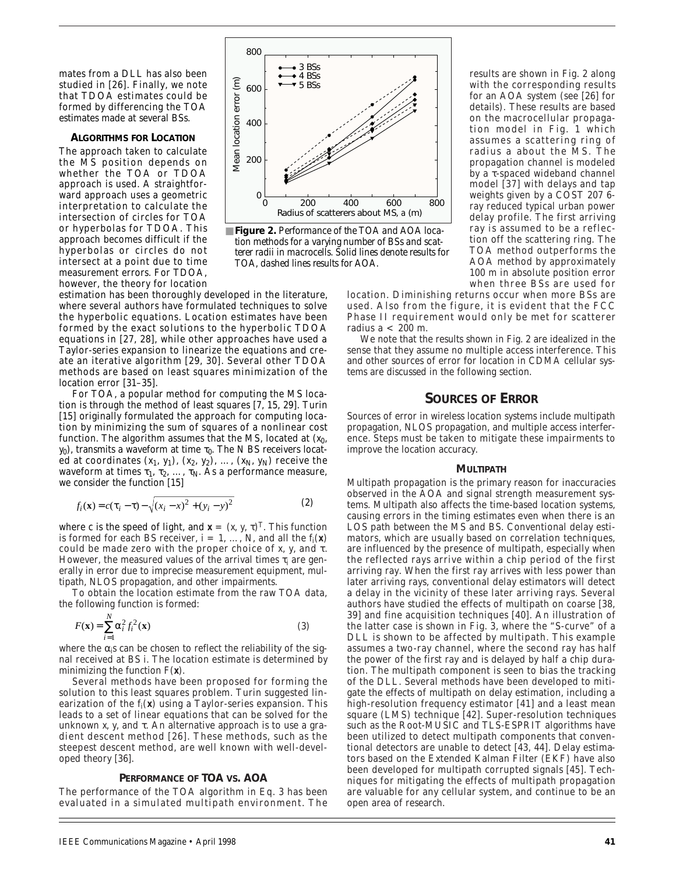mates from a DLL has also been studied in [26]. Finally, we note that TDOA estimates could be formed by differencing the TOA estimates made at several BSs.

#### **ALGORITHMS FOR LOCATION**

The approach taken to calculate the MS position depends on whether the TOA or TDOA approach is used. A straightforward approach uses a geometric interpretation to calculate the intersection of circles for TOA or hyperbolas for TDOA. This approach becomes difficult if the hyperbolas or circles do not intersect at a point due to time measurement errors. For TDOA, however, the theory for location



■ **Figure 2.** *Performance of the TOA and AOA location methods for a varying number of BSs and scatterer radii in macrocells. Solid lines denote results for TOA, dashed lines results for AOA.*

estimation has been thoroughly developed in the literature, where several authors have formulated techniques to solve the hyperbolic equations. Location estimates have been formed by the exact solutions to the hyperbolic TDOA equations in [27, 28], while other approaches have used a Taylor-series expansion to linearize the equations and create an iterative algorithm [29, 30]. Several other TDOA methods are based on least squares minimization of the location error [31–35].

For TOA, a popular method for computing the MS location is through the method of least squares [7, 15, 29]. Turin [15] originally formulated the approach for computing location by minimizing the sum of squares of a nonlinear cost function. The algorithm assumes that the MS, located at (*x*0,  $y_0$ ), transmits a waveform at time  $\tau_0$ . The *N* BS receivers located at coordinates  $(x_1, y_1)$ ,  $(x_2, y_2)$ , ...,  $(x_N, y_N)$  receive the waveform at times  $\tau_1$ ,  $\tau_2$ , ...,  $\tau_N$ . As a performance measure, we consider the function [15]

$$
f_i(\mathbf{x}) = c(\tau_i - \tau) - \sqrt{(x_i - x)^2 + (y_i - y)^2}
$$
 (2)

where *c* is the speed of light, and  $\mathbf{x} = (x, y, \tau)^T$ . This function is formed for each BS receiver,  $i = 1, ..., N$ , and all the  $f_i(\mathbf{x})$ could be made zero with the proper choice of *x*, *y*, and τ. However, the measured values of the arrival times  $\tau_i$  are generally in error due to imprecise measurement equipment, multipath, NLOS propagation, and other impairments.

To obtain the location estimate from the raw TOA data, the following function is formed:

$$
F(\mathbf{x}) = \sum_{i=1}^{N} \alpha_i^2 f_i^2(\mathbf{x})
$$
\n(3)

where the α*ρ* can be chosen to reflect the reliability of the signal received at BS *i*. The location estimate is determined by minimizing the function *F*(**x**).

Several methods have been proposed for forming the solution to this least squares problem. Turin suggested linearization of the *fi*(**x**) using a Taylor-series expansion. This leads to a set of linear equations that can be solved for the unknown *x*, *y*, and  $\tau$ . An alternative approach is to use a gradient descent method [26]. These methods, such as the steepest descent method, are well known with well-developed theory [36].

#### **PERFORMANCE OF TOA VS. AOA**

The performance of the TOA algorithm in Eq. 3 has been evaluated in a simulated multipath environment. The results are shown in Fig. 2 along with the corresponding results for an AOA system (see [26] for details). These results are based on the macrocellular propagation model in Fig. 1 which assumes a scattering ring of radius *a* about the MS. The propagation channel is modeled by a τ-spaced wideband channel model [37] with delays and tap weights given by a COST 207 6 ray reduced typical urban power delay profile. The first arriving ray is assumed to be a reflection off the scattering ring. The TOA method outperforms the AOA method by approximately 100 m in absolute position error when three BSs are used for

location. Diminishing returns occur when more BSs are used. Also from the figure, it is evident that the FCC Phase II requirement would only be met for scatterer radius *a* < 200 m.

We note that the results shown in Fig. 2 are idealized in the sense that they assume no multiple access interference. This and other sources of error for location in CDMA cellular systems are discussed in the following section.

#### **SOURCES OF ERROR**

Sources of error in wireless location systems include multipath propagation, NLOS propagation, and multiple access interference. Steps must be taken to mitigate these impairments to improve the location accuracy.

#### **MULTIPATH**

Multipath propagation is the primary reason for inaccuracies observed in the AOA and signal strength measurement systems. Multipath also affects the time-based location systems, causing errors in the timing estimates even when there is an LOS path between the MS and BS. Conventional delay estimators, which are usually based on correlation techniques, are influenced by the presence of multipath, especially when the reflected rays arrive within a chip period of the first arriving ray. When the first ray arrives with less power than later arriving rays, conventional delay estimators will detect a delay in the vicinity of these later arriving rays. Several authors have studied the effects of multipath on coarse [38, 39] and fine acquisition techniques [40]. An illustration of the latter case is shown in Fig. 3, where the "S-curve" of a DLL is shown to be affected by multipath. This example assumes a two-ray channel, where the second ray has half the power of the first ray and is delayed by half a chip duration. The multipath component is seen to bias the tracking of the DLL. Several methods have been developed to mitigate the effects of multipath on delay estimation, including a high-resolution frequency estimator [41] and a least mean square (LMS) technique [42]. Super-resolution techniques such as the Root-MUSIC and TLS-ESPRIT algorithms have been utilized to detect multipath components that conventional detectors are unable to detect [43, 44]. Delay estimators based on the Extended Kalman Filter (EKF) have also been developed for multipath corrupted signals [45]. Techniques for mitigating the effects of multipath propagation are valuable for any cellular system, and continue to be an open area of research.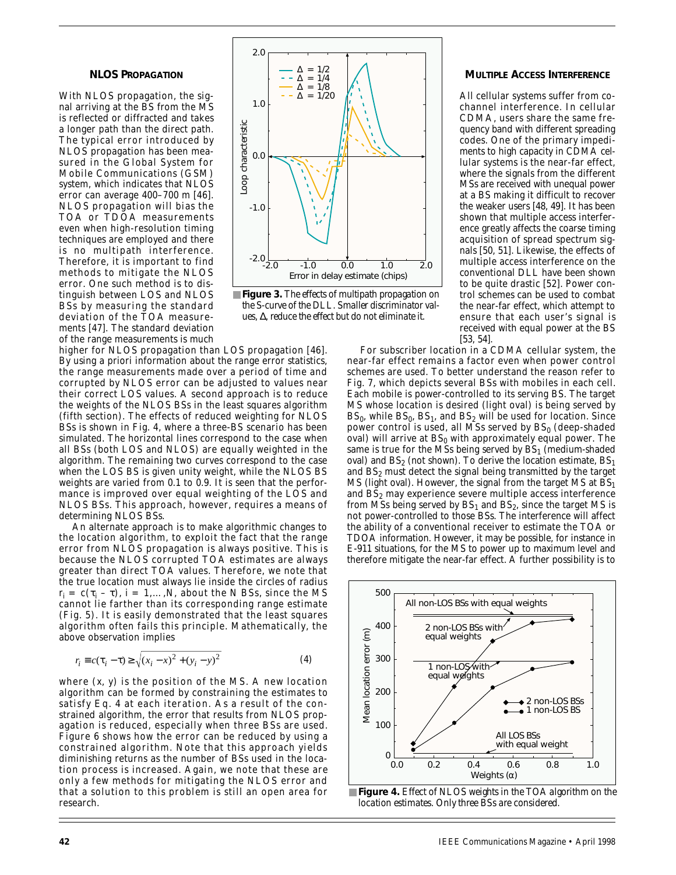#### **NLOS PROPAGATION**

With NLOS propagation, the signal arriving at the BS from the MS is reflected or diffracted and takes a longer path than the direct path. The typical error introduced by NLOS propagation has been measured in the Global System for Mobile Communications (GSM) system, which indicates that NLOS error can average 400–700 m [46]. NLOS propagation will bias the TOA or TDOA measurements even when high-resolution timing techniques are employed and there is no multipath interference. Therefore, it is important to find methods to mitigate the NLOS error. One such method is to distinguish between LOS and NLOS BSs by measuring the standard deviation of the TOA measurements [47]. The standard deviation of the range measurements is much



■ **Figure 3.** *The effects of multipath propagation on the S-curve of the DLL. Smaller discriminator values,* ∆*, reduce the effect but do not eliminate it.*

higher for NLOS propagation than LOS propagation [46]. By using a priori information about the range error statistics, the range measurements made over a period of time and corrupted by NLOS error can be adjusted to values near their correct LOS values. A second approach is to reduce the weights of the NLOS BSs in the least squares algorithm (fifth section). The effects of reduced weighting for NLOS BSs is shown in Fig. 4, where a three-BS scenario has been simulated. The horizontal lines correspond to the case when all BSs (both LOS and NLOS) are equally weighted in the algorithm. The remaining two curves correspond to the case when the LOS BS is given unity weight, while the NLOS BS weights are varied from 0.1 to 0.9. It is seen that the performance is improved over equal weighting of the LOS and NLOS BSs. This approach, however, requires a means of determining NLOS BSs.

An alternate approach is to make algorithmic changes to the location algorithm, to exploit the fact that the range error from NLOS propagation is always positive. This is because the NLOS corrupted TOA estimates are always greater than direct TOA values. Therefore, we note that the true location must always lie inside the circles of radius  $r_i = c(\tau_i - \tau)$ ,  $i = 1,...,N$ , about the *N* BSs, since the MS cannot lie farther than its corresponding range estimate (Fig. 5). It is easily demonstrated that the least squares algorithm often fails this principle. Mathematically, the above observation implies

$$
r_i \equiv c(\tau_i - \tau) \ge \sqrt{(x_i - x)^2 + (y_i - y)^2}
$$
 (4)

where (*x*, *y*) is the position of the MS. A new location algorithm can be formed by constraining the estimates to satisfy Eq. 4 at each iteration. As a result of the constrained algorithm, the error that results from NLOS propagation is reduced, especially when three BSs are used. Figure 6 shows how the error can be reduced by using a constrained algorithm. Note that this approach yields diminishing returns as the number of BSs used in the location process is increased. Again, we note that these are only a few methods for mitigating the NLOS error and that a solution to this problem is still an open area for research.

#### **MULTIPLE ACCESS INTERFERENCE**

All cellular systems suffer from cochannel interference. In cellular CDMA, users share the same frequency band with different spreading codes. One of the primary impediments to high capacity in CDMA cellular systems is the near-far effect, where the signals from the different MSs are received with unequal power at a BS making it difficult to recover the weaker users [48, 49]. It has been shown that multiple access interference greatly affects the coarse timing acquisition of spread spectrum signals [50, 51]. Likewise, the effects of multiple access interference on the conventional DLL have been shown to be quite drastic [52]. Power control schemes can be used to combat the near-far effect, which attempt to ensure that each user's signal is received with equal power at the BS [53, 54].

For subscriber location in a CDMA cellular system, the near-far effect remains a factor even when power control schemes are used. To better understand the reason refer to Fig. 7, which depicts several BSs with mobiles in each cell. Each mobile is power-controlled to its serving BS. The target MS whose location is desired (light oval) is being served by  $BS_0$ , while  $BS_0$ ,  $BS_1$ , and  $BS_2$  will be used for location. Since power control is used, all MSs served by  $BS_0$  (deep-shaded oval) will arrive at  $BS_0$  with approximately equal power. The same is true for the MSs being served by  $BS<sub>1</sub>$  (medium-shaded oval) and  $BS_2$  (not shown). To derive the location estimate,  $BS_1$ and  $BS<sub>2</sub>$  must detect the signal being transmitted by the target MS (light oval). However, the signal from the target MS at  $BS<sub>1</sub>$ and  $BS<sub>2</sub>$  may experience severe multiple access interference from MSs being served by  $BS_1$  and  $BS_2$ , since the target MS is not power-controlled to those BSs. The interference will affect the ability of a conventional receiver to estimate the TOA or TDOA information. However, it may be possible, for instance in E-911 situations, for the MS to power up to maximum level and therefore mitigate the near-far effect. A further possibility is to



■ **Figure 4.** *Effect of NLOS weights in the TOA algorithm on the location estimates. Only three BSs are considered.*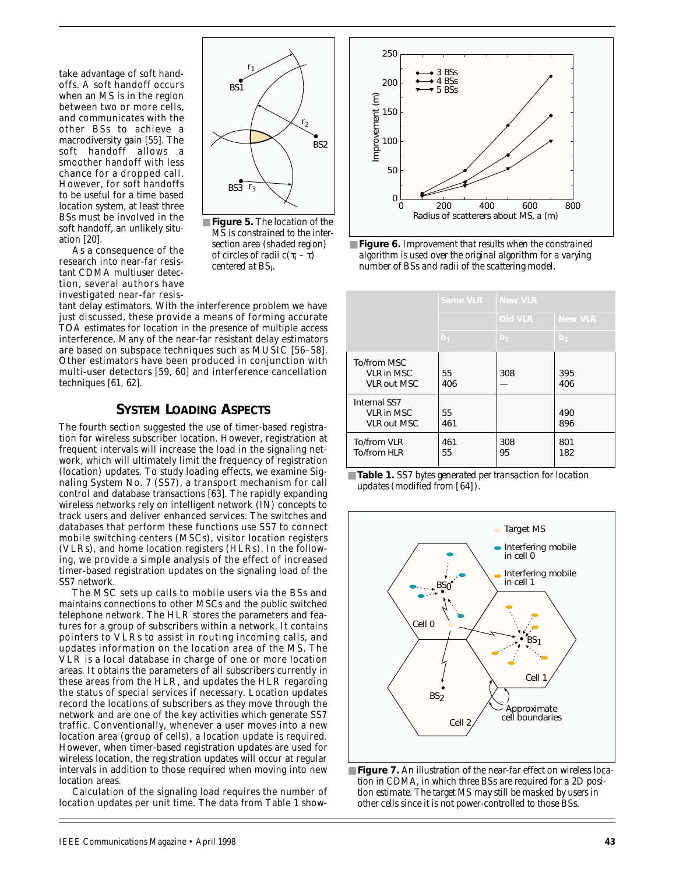take advantage of soft handoffs. A soft handoff occurs when an MS is in the region between two or more cells, and communicates with the other BSs to achieve a macrodiversity gain [55]. The soft handoff allows a smoother handoff with less chance for a dropped call. However, for soft handoffs to be useful for a time based location system, at least three BSs must be involved in the soft handoff, an unlikely situation [20].



*MS is constrained to the intersection area (shaded region) of circles of radii*  $c(\tau_i - \tau)$ *centered at BS*i*.*

As a consequence of the research into near-far resistant CDMA multiuser detection, several authors have investigated near-far resis-

tant delay estimators. With the interference problem we have just discussed, these provide a means of forming accurate TOA estimates for location in the presence of multiple access interference. Many of the near-far resistant delay estimators are based on subspace techniques such as MUSIC [56–58]. Other estimators have been produced in conjunction with multi-user detectors [59, 60] and interference cancellation techniques [61, 62].

## **SYSTEM LOADING ASPECTS**

The fourth section suggested the use of timer-based registration for wireless subscriber location. However, registration at frequent intervals will increase the load in the signaling network, which will ultimately limit the frequency of registration (location) updates. To study loading effects, we examine Signaling System No. 7 (SS7), a transport mechanism for call control and database transactions [63]. The rapidly expanding wireless networks rely on intelligent network (IN) concepts to track users and deliver enhanced services. The switches and databases that perform these functions use SS7 to connect mobile switching centers (MSCs), visitor location registers (VLRs), and home location registers (HLRs). In the following, we provide a simple analysis of the effect of increased timer-based registration updates on the signaling load of the SS7 network.

The MSC sets up calls to mobile users via the BSs and maintains connections to other MSCs and the public switched telephone network. The HLR stores the parameters and features for a group of subscribers within a network. It contains pointers to VLRs to assist in routing incoming calls, and updates information on the location area of the MS. The VLR is a local database in charge of one or more location areas. It obtains the parameters of all subscribers currently in these areas from the HLR, and updates the HLR regarding the status of special services if necessary. Location updates record the locations of subscribers as they move through the network and are one of the key activities which generate SS7 traffic. Conventionally, whenever a user moves into a new location area (group of cells), a location update is required. However, when timer-based registration updates are used for wireless location, the registration updates will occur at regular intervals in addition to those required when moving into new location areas.

Calculation of the signaling load requires the number of location updates per unit time. The data from Table 1 show-



■ **Figure 6.** *Improvement that results when the constrained algorithm is used over the original algorithm for a varying number of BSs and radii of the scattering model.*

|                                                         | Same VLR       | <b>New VLR</b> |                |
|---------------------------------------------------------|----------------|----------------|----------------|
|                                                         |                | Old VLR        | <b>New VLR</b> |
|                                                         | b <sub>1</sub> | b <sub>2</sub> | $b_3$          |
| To/from MSC<br><b>VLR in MSC</b><br><b>VLR out MSC</b>  | 55<br>406      | 308            | 395<br>406     |
| Internal SS7<br><b>VLR in MSC</b><br><b>VLR out MSC</b> | 55<br>461      |                | 490<br>896     |
| To/from VLR<br>To/from HLR                              | 461<br>55      | 308<br>95      | 801<br>182     |

<sup>■</sup> **Table 1.** *SS7 bytes generated per transaction for location updates (modified from [64]).*



■ **Figure 7**. An illustration of the near-far effect on wireless loca*tion in CDMA, in which three BSs are required for a 2D position estimate. The target MS may still be masked by users in other cells since it is not power-controlled to those BSs.*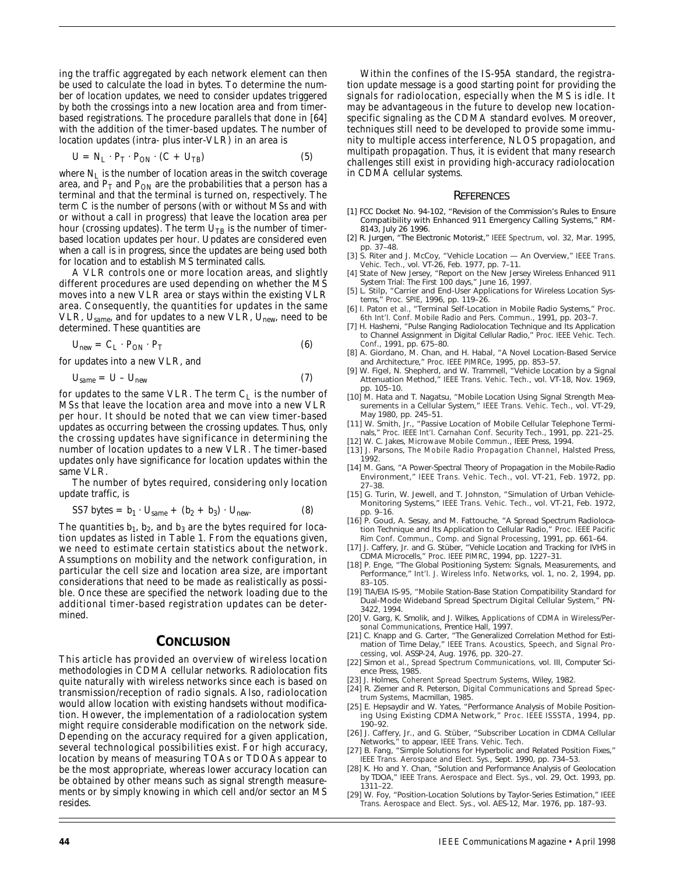ing the traffic aggregated by each network element can then be used to calculate the load in bytes. To determine the number of location updates, we need to consider updates triggered by both the crossings into a new location area and from timerbased registrations. The procedure parallels that done in [64] with the addition of the timer-based updates. The number of location updates (intra- plus inter-VLR) in an area is

$$
U = N_L \cdot P_T \cdot P_{ON} \cdot (C + U_{TB}) \tag{5}
$$

where  $N_L$  is the number of location areas in the switch coverage area, and  $P_T$  and  $P_{ON}$  are the probabilities that a person has a terminal and that the terminal is turned on, respectively. The term *C* is the number of persons (with or without MSs and with or without a call in progress) that leave the *location area* per hour (crossing updates). The term  $U_{TB}$  is the number of timerbased location updates per hour. Updates are considered even when a call is in progress, since the updates are being used both for location and to establish MS terminated calls.

A VLR controls one or more location areas, and slightly different procedures are used depending on whether the MS moves into a new VLR area or stays within the existing VLR area. Consequently, the quantities for updates in the same VLR, *Usame*, and for updates to a new VLR, *Unew*, need to be determined. These quantities are

$$
U_{new} = C_L \cdot P_{ON} \cdot P_T \tag{6}
$$

for updates into a new VLR, and

$$
U_{same} = U - U_{new} \tag{7}
$$

for updates to the same VLR. The term  $C_L$  is the number of MSs that leave the location area and move into a new VLR per hour. It should be noted that we can view timer-based updates as occurring between the crossing updates. Thus, only the crossing updates have significance in determining the number of location updates to a new VLR. The timer-based updates only have significance for location updates within the same VLR.

The number of bytes required, considering only location update traffic, is

$$
\text{SS7 bytes} = b_1 \cdot U_{same} + (b_2 + b_3) \cdot U_{new} \tag{8}
$$

The quantities  $b_1$ ,  $b_2$ , and  $b_3$  are the bytes required for location updates as listed in Table 1. From the equations given, we need to estimate certain statistics about the network. Assumptions on mobility and the network configuration, in particular the cell size and location area size, are important considerations that need to be made as realistically as possible. Once these are specified the network loading due to the additional timer-based registration updates can be determined.

#### **CONCLUSION**

This article has provided an overview of wireless location methodologies in CDMA cellular networks. Radiolocation fits quite naturally with wireless networks since each is based on transmission/reception of radio signals. Also, radiolocation would allow location with existing handsets without modification. However, the implementation of a radiolocation system might require considerable modification on the network side. Depending on the accuracy required for a given application, several technological possibilities exist. For high accuracy, location by means of measuring TOAs or TDOAs appear to be the most appropriate, whereas lower accuracy location can be obtained by other means such as signal strength measurements or by simply knowing in which cell and/or sector an MS resides.

Within the confines of the IS-95A standard, the registration update message is a good starting point for providing the signals for radiolocation, especially when the MS is idle. It may be advantageous in the future to develop new locationspecific signaling as the CDMA standard evolves. Moreover, techniques still need to be developed to provide some immunity to multiple access interference, NLOS propagation, and multipath propagation. Thus, it is evident that many research challenges still exist in providing high-accuracy radiolocation in CDMA cellular systems.

#### **REFERENCES**

- [1] FCC Docket No. 94-102, "Revision of the Commission's Rules to Ensure Compatibility with Enhanced 911 Emergency Calling Systems," RM-8143, July 26 1996.
- [2] R. Jurgen, "The Electronic Motorist," *IEEE Spectrum*, vol. 32, Mar. 1995, pp. 37–48.
- [3] S. Riter and J. McCoy, "Vehicle Location An Overview," *IEEE Trans. Vehic. Tech.*, vol. VT-26, Feb. 1977, pp. 7–11.
- [4] State of New Jersey, "Report on the New Jersey Wireless Enhanced 911 System Trial: The First 100 days," June 16, 1997.
- [5] L. Stilp, "Carrier and End-User Applications for Wireless Location Systems," *Proc. SPIE*, 1996, pp. 119–26.
- [6] I. Paton *et al.*, "Terminal Self-Location in Mobile Radio Systems," *Proc. 6th Int'l. Conf. Mobile Radio and Pers. Commun.*, 1991, pp. 203–7.
- [7] H. Hashemi, "Pulse Ranging Radiolocation Technique and Its Application to Channel Assignment in Digital Cellular Radio," *Proc. IEEE Vehic. Tech. Conf.*, 1991, pp. 675–80.
- [8] A. Giordano, M. Chan, and H. Habal, "A Novel Location-Based Service and Architecture," *Proc. IEEE PIMRCe*, 1995, pp. 853–57.
- [9] W. Figel, N. Shepherd, and W. Trammell, "Vehicle Location by a Signal Attenuation Method," *IEEE Trans. Vehic. Tech.*, vol. VT-18, Nov. 1969, pp. 105–10.
- [10] M. Hata and T. Nagatsu, "Mobile Location Using Signal Strength Measurements in a Cellular System," *IEEE Trans. Vehic. Tech.*, vol. VT-29, May 1980, pp. 245–51.
- [11] W. Smith, Jr., "Passive Location of Mobile Cellular Telephone Terminals," *Proc. IEEE Int'l. Carnahan Conf. Security Tech.*, 1991, pp. 221–25.
- [12] W. C. Jakes, *Microwave Mobile Commun.*, IEEE Press, 1994.
- [13] J. Parsons, *The Mobile Radio Propagation Channel*, Halsted Press, 1992.
- [14] M. Gans, "A Power-Spectral Theory of Propagation in the Mobile-Radio Environment," *IEEE Trans. Vehic. Tech.*, vol. VT-21, Feb. 1972, pp. 27–38.
- [15] G. Turin, W. Jewell, and T. Johnston, "Simulation of Urban Vehicle-Monitoring Systems," *IEEE Trans. Vehic. Tech.*, vol. VT-21, Feb. 1972, pp. 9–16.
- [16] P. Goud, A. Sesay, and M. Fattouche, "A Spread Spectrum Radiolocation Technique and Its Application to Cellular Radio," *Proc. IEEE Pacific Rim Conf. Commun., Comp. and Signal Processing*, 1991, pp. 661–64.
- [17] J. Caffery, Jr. and G. Stüber, "Vehicle Location and Tracking for IVHS in CDMA Microcells," *Proc. IEEE PIMRC*, 1994, pp. 1227–31.
- [18] P. Enge, "The Global Positioning System: Signals, Measurements, and Performance," *Int'l. J. Wireless Info. Networks*, vol. 1, no. 2, 1994, pp. 83–105.
- [19] TIA/EIA IS-95, "Mobile Station-Base Station Compatibility Standard for Dual-Mode Wideband Spread Spectrum Digital Cellular System," PN-3422, 1994.
- [20] V. Garg, K. Smolik, and J. Wilkes, Applications of CDMA in Wireless/Per*sonal Communications*, Prentice Hall, 1997.
- [21] C. Knapp and G. Carter, "The Generalized Correlation Method for Estimation of Time Delay," *IEEE Trans. Acoustics, Speech, and Signal Processing*, vol. ASSP-24, Aug. 1976, pp. 320–27.
- [22] Simon *et al.*, *Spread Spectrum Communications,* vol. III, Computer Science Press, 1985.
- [23] J. Holmes, *Coherent Spread Spectrum Systems*, Wiley, 1982.
- [24] R. Ziemer and R. Peterson, *Digital Communications and Spread Spectrum Systems*, Macmillan, 1985.
- [25] E. Hepsaydir and W. Yates, "Performance Analysis of Mobile Positioning Using Existing CDMA Network," *Proc. IEEE ISSSTA*, 1994, pp. 190–92.
- [26] J. Caffery, Jr., and G. Stüber, "Subscriber Location in CDMA Cellular Networks," to appear, *IEEE Trans. Vehic. Tech*.
- [27] B. Fang, "Simple Solutions for Hyperbolic and Related Position Fixes," *IEEE Trans. Aerospace and Elect. Sys.*, Sept. 1990, pp. 734–53.
- [28] K. Ho and Y. Chan, "Solution and Performance Analysis of Geolocation by TDOA," *IEEE Trans. Aerospace and Elect. Sys.*, vol. 29, Oct. 1993, pp. 1311–22.
- [29] W. Foy, "Position-Location Solutions by Taylor-Series Estimation," *IEEE Trans. Aerospace and Elect. Sys.*, vol. AES-12, Mar. 1976, pp. 187–93.